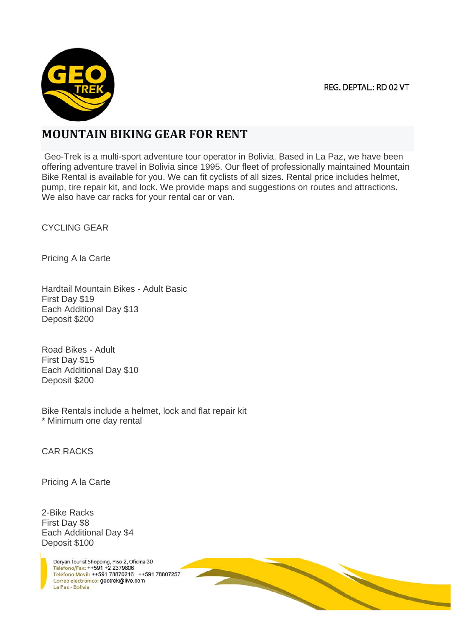REG. DEPTAL.: RD 02 VT



## **MOUNTAIN BIKING GEAR FOR RENT**

 Geo-Trek is a multi-sport adventure tour operator in Bolivia. Based in La Paz, we have been offering adventure travel in Bolivia since 1995. Our fleet of professionally maintained Mountain Bike Rental is available for you. We can fit cyclists of all sizes. Rental price includes helmet, pump, tire repair kit, and lock. We provide maps and suggestions on routes and attractions. We also have car racks for your rental car or van.

CYCLING GEAR

Pricing A la Carte

Hardtail Mountain Bikes - Adult Basic First Day \$19 Each Additional Day \$13 Deposit \$200

Road Bikes - Adult First Day \$15 Each Additional Day \$10 Deposit \$200

Bike Rentals include a helmet, lock and flat repair kit \* Minimum one day rental

CAR RACKS

Pricing A la Carte

2-Bike Racks First Day \$8 Each Additional Day \$4 Deposit \$100

> Doryan Tourist Shopping, Piso 2, Oficina 30 Teléfono/Fax: ++591 +2 2379806 Teléfono Movil: ++591 78870216 ++591 78807257 Correo electrónico: geotrek@live.com La Paz - Bolivia

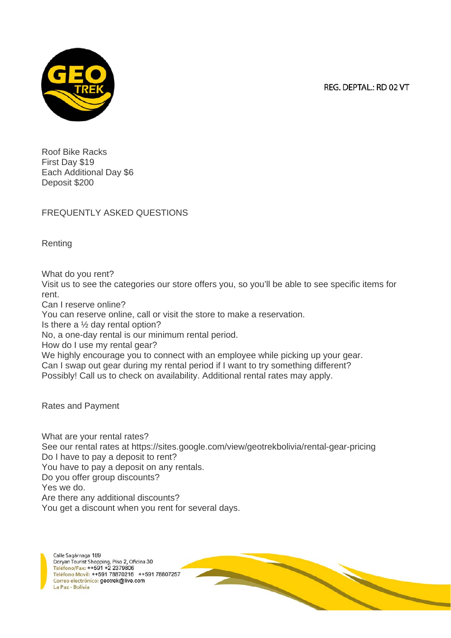REG. DEPTAL.: RD 02 VT



Roof Bike Racks First Day \$19 Each Additional Day \$6 Deposit \$200

FREQUENTLY ASKED QUESTIONS

Renting

What do you rent?

Visit us to see the categories our store offers you, so you'll be able to see specific items for rent.

Can I reserve online?

You can reserve online, call or visit the store to make a reservation.

Is there a ½ day rental option?

No, a one-day rental is our minimum rental period.

How do I use my rental gear?

We highly encourage you to connect with an employee while picking up your gear. Can I swap out gear during my rental period if I want to try something different? Possibly! Call us to check on availability. Additional rental rates may apply.

Rates and Payment

What are your rental rates? See our rental rates at https://sites.google.com/view/geotrekbolivia/rental-gear-pricing Do I have to pay a deposit to rent? You have to pay a deposit on any rentals. Do you offer group discounts? Yes we do. Are there any additional discounts? You get a discount when you rent for several days.

Calle Sagárnaga 189 Doryan Tourist Shopping, Piso 2, Oficina 30 Teléfono/Fax: ++591 +2 2379806 Teléfono Movil: ++591 78870216 ++591 78807257 Correo electrónico: geotrek@live.com La Paz - Bolivia